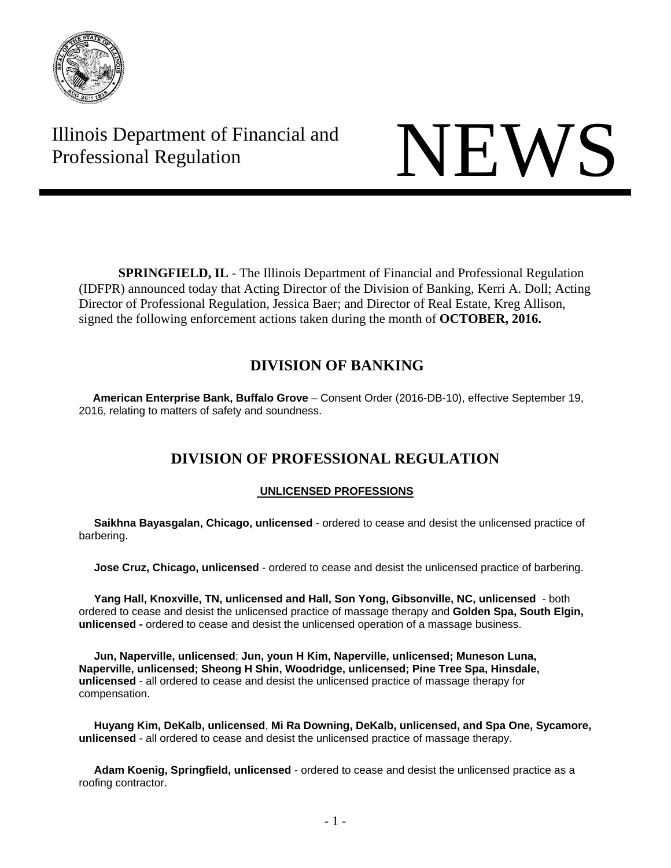

Illinois Department of Financial and Illinois Department of Financial and<br>Professional Regulation

**SPRINGFIELD, IL** - The Illinois Department of Financial and Professional Regulation (IDFPR) announced today that Acting Director of the Division of Banking, Kerri A. Doll; Acting Director of Professional Regulation, Jessica Baer; and Director of Real Estate, Kreg Allison, signed the following enforcement actions taken during the month of **OCTOBER, 2016.** 

# **DIVISION OF BANKING**

 **American Enterprise Bank, Buffalo Grove** – Consent Order (2016-DB-10), effective September 19, 2016, relating to matters of safety and soundness.

# **DIVISION OF PROFESSIONAL REGULATION**

## **UNLICENSED PROFESSIONS**

 **Saikhna Bayasgalan, Chicago, unlicensed** - ordered to cease and desist the unlicensed practice of barbering.

**Jose Cruz, Chicago, unlicensed** - ordered to cease and desist the unlicensed practice of barbering.

 **Yang Hall, Knoxville, TN, unlicensed and Hall, Son Yong, Gibsonville, NC, unlicensed** - both ordered to cease and desist the unlicensed practice of massage therapy and **Golden Spa, South Elgin, unlicensed -** ordered to cease and desist the unlicensed operation of a massage business.

 **Jun, Naperville, unlicensed**; **Jun, youn H Kim, Naperville, unlicensed; Muneson Luna, Naperville, unlicensed; Sheong H Shin, Woodridge, unlicensed; Pine Tree Spa, Hinsdale, unlicensed** - all ordered to cease and desist the unlicensed practice of massage therapy for compensation.

 **Huyang Kim, DeKalb, unlicensed**, **Mi Ra Downing, DeKalb, unlicensed, and Spa One, Sycamore, unlicensed** - all ordered to cease and desist the unlicensed practice of massage therapy.

 **Adam Koenig, Springfield, unlicensed** - ordered to cease and desist the unlicensed practice as a roofing contractor.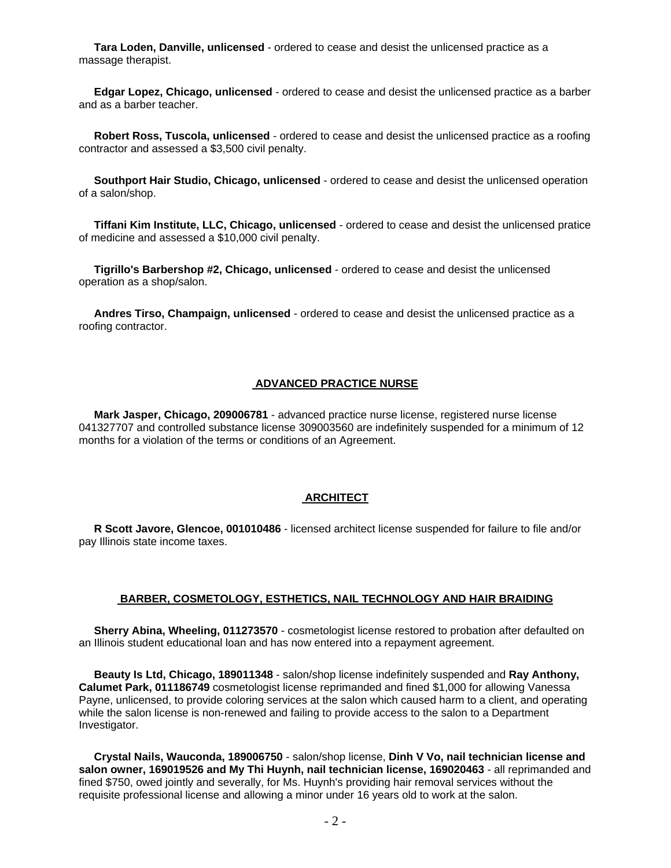**Tara Loden, Danville, unlicensed** - ordered to cease and desist the unlicensed practice as a massage therapist.

 **Edgar Lopez, Chicago, unlicensed** - ordered to cease and desist the unlicensed practice as a barber and as a barber teacher.

 **Robert Ross, Tuscola, unlicensed** - ordered to cease and desist the unlicensed practice as a roofing contractor and assessed a \$3,500 civil penalty.

 **Southport Hair Studio, Chicago, unlicensed** - ordered to cease and desist the unlicensed operation of a salon/shop.

 **Tiffani Kim Institute, LLC, Chicago, unlicensed** - ordered to cease and desist the unlicensed pratice of medicine and assessed a \$10,000 civil penalty.

 **Tigrillo's Barbershop #2, Chicago, unlicensed** - ordered to cease and desist the unlicensed operation as a shop/salon.

 **Andres Tirso, Champaign, unlicensed** - ordered to cease and desist the unlicensed practice as a roofing contractor.

## **ADVANCED PRACTICE NURSE**

 **Mark Jasper, Chicago, 209006781** - advanced practice nurse license, registered nurse license 041327707 and controlled substance license 309003560 are indefinitely suspended for a minimum of 12 months for a violation of the terms or conditions of an Agreement.

#### **ARCHITECT**

 **R Scott Javore, Glencoe, 001010486** - licensed architect license suspended for failure to file and/or pay Illinois state income taxes.

#### **BARBER, COSMETOLOGY, ESTHETICS, NAIL TECHNOLOGY AND HAIR BRAIDING**

 **Sherry Abina, Wheeling, 011273570** - cosmetologist license restored to probation after defaulted on an Illinois student educational loan and has now entered into a repayment agreement.

 **Beauty Is Ltd, Chicago, 189011348** - salon/shop license indefinitely suspended and **Ray Anthony, Calumet Park, 011186749** cosmetologist license reprimanded and fined \$1,000 for allowing Vanessa Payne, unlicensed, to provide coloring services at the salon which caused harm to a client, and operating while the salon license is non-renewed and failing to provide access to the salon to a Department Investigator.

 **Crystal Nails, Wauconda, 189006750** - salon/shop license, **Dinh V Vo, nail technician license and salon owner, 169019526 and My Thi Huynh, nail technician license, 169020463** - all reprimanded and fined \$750, owed jointly and severally, for Ms. Huynh's providing hair removal services without the requisite professional license and allowing a minor under 16 years old to work at the salon.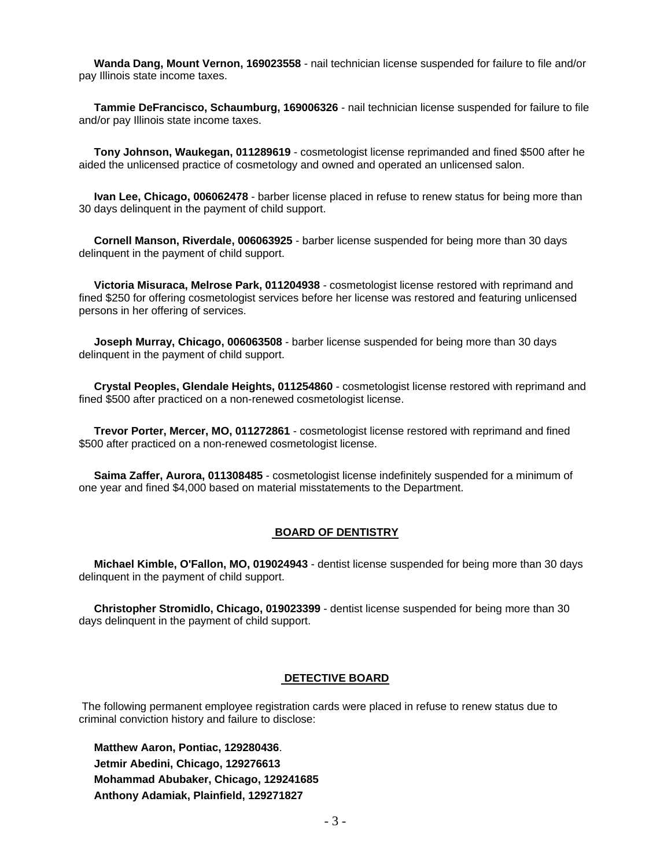**Wanda Dang, Mount Vernon, 169023558** - nail technician license suspended for failure to file and/or pay Illinois state income taxes.

 **Tammie DeFrancisco, Schaumburg, 169006326** - nail technician license suspended for failure to file and/or pay Illinois state income taxes.

 **Tony Johnson, Waukegan, 011289619** - cosmetologist license reprimanded and fined \$500 after he aided the unlicensed practice of cosmetology and owned and operated an unlicensed salon.

 **Ivan Lee, Chicago, 006062478** - barber license placed in refuse to renew status for being more than 30 days delinquent in the payment of child support.

 **Cornell Manson, Riverdale, 006063925** - barber license suspended for being more than 30 days delinquent in the payment of child support.

 **Victoria Misuraca, Melrose Park, 011204938** - cosmetologist license restored with reprimand and fined \$250 for offering cosmetologist services before her license was restored and featuring unlicensed persons in her offering of services.

 **Joseph Murray, Chicago, 006063508** - barber license suspended for being more than 30 days delinquent in the payment of child support.

 **Crystal Peoples, Glendale Heights, 011254860** - cosmetologist license restored with reprimand and fined \$500 after practiced on a non-renewed cosmetologist license.

 **Trevor Porter, Mercer, MO, 011272861** - cosmetologist license restored with reprimand and fined \$500 after practiced on a non-renewed cosmetologist license.

 **Saima Zaffer, Aurora, 011308485** - cosmetologist license indefinitely suspended for a minimum of one year and fined \$4,000 based on material misstatements to the Department.

## **BOARD OF DENTISTRY**

 **Michael Kimble, O'Fallon, MO, 019024943** - dentist license suspended for being more than 30 days delinquent in the payment of child support.

 **Christopher Stromidlo, Chicago, 019023399** - dentist license suspended for being more than 30 days delinquent in the payment of child support.

## **DETECTIVE BOARD**

 The following permanent employee registration cards were placed in refuse to renew status due to criminal conviction history and failure to disclose:

 **Matthew Aaron, Pontiac, 129280436**. **Jetmir Abedini, Chicago, 129276613 Mohammad Abubaker, Chicago, 129241685 Anthony Adamiak, Plainfield, 129271827**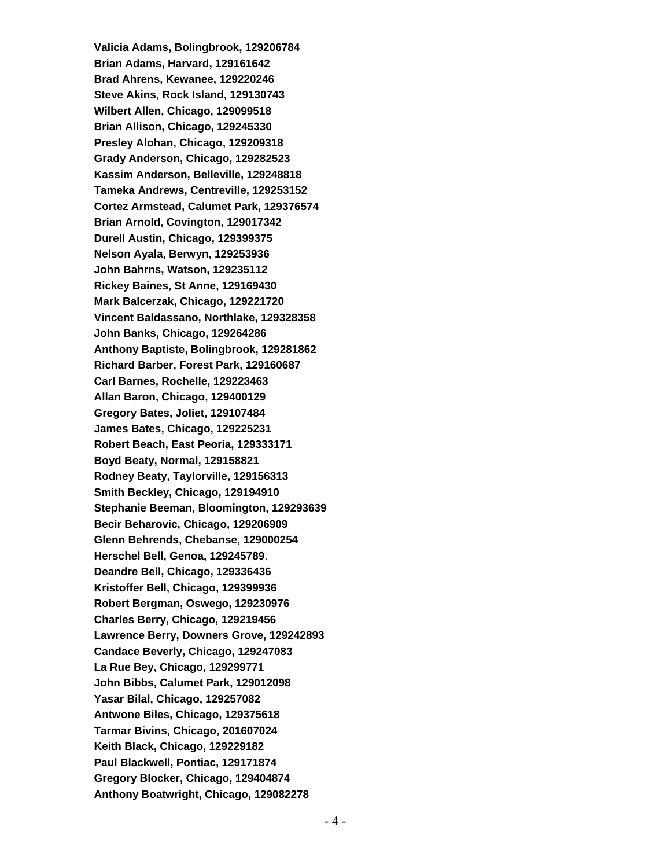**Valicia Adams, Bolingbrook, 129206784 Brian Adams, Harvard, 129161642 Brad Ahrens, Kewanee, 129220246 Steve Akins, Rock Island, 129130743 Wilbert Allen, Chicago, 129099518 Brian Allison, Chicago, 129245330 Presley Alohan, Chicago, 129209318 Grady Anderson, Chicago, 129282523 Kassim Anderson, Belleville, 129248818 Tameka Andrews, Centreville, 129253152 Cortez Armstead, Calumet Park, 129376574 Brian Arnold, Covington, 129017342 Durell Austin, Chicago, 129399375 Nelson Ayala, Berwyn, 129253936 John Bahrns, Watson, 129235112 Rickey Baines, St Anne, 129169430 Mark Balcerzak, Chicago, 129221720 Vincent Baldassano, Northlake, 129328358 John Banks, Chicago, 129264286 Anthony Baptiste, Bolingbrook, 129281862 Richard Barber, Forest Park, 129160687 Carl Barnes, Rochelle, 129223463 Allan Baron, Chicago, 129400129 Gregory Bates, Joliet, 129107484 James Bates, Chicago, 129225231 Robert Beach, East Peoria, 129333171 Boyd Beaty, Normal, 129158821 Rodney Beaty, Taylorville, 129156313 Smith Beckley, Chicago, 129194910 Stephanie Beeman, Bloomington, 129293639 Becir Beharovic, Chicago, 129206909 Glenn Behrends, Chebanse, 129000254 Herschel Bell, Genoa, 129245789**. **Deandre Bell, Chicago, 129336436 Kristoffer Bell, Chicago, 129399936 Robert Bergman, Oswego, 129230976 Charles Berry, Chicago, 129219456 Lawrence Berry, Downers Grove, 129242893 Candace Beverly, Chicago, 129247083 La Rue Bey, Chicago, 129299771 John Bibbs, Calumet Park, 129012098 Yasar Bilal, Chicago, 129257082 Antwone Biles, Chicago, 129375618 Tarmar Bivins, Chicago, 201607024 Keith Black, Chicago, 129229182 Paul Blackwell, Pontiac, 129171874 Gregory Blocker, Chicago, 129404874 Anthony Boatwright, Chicago, 129082278**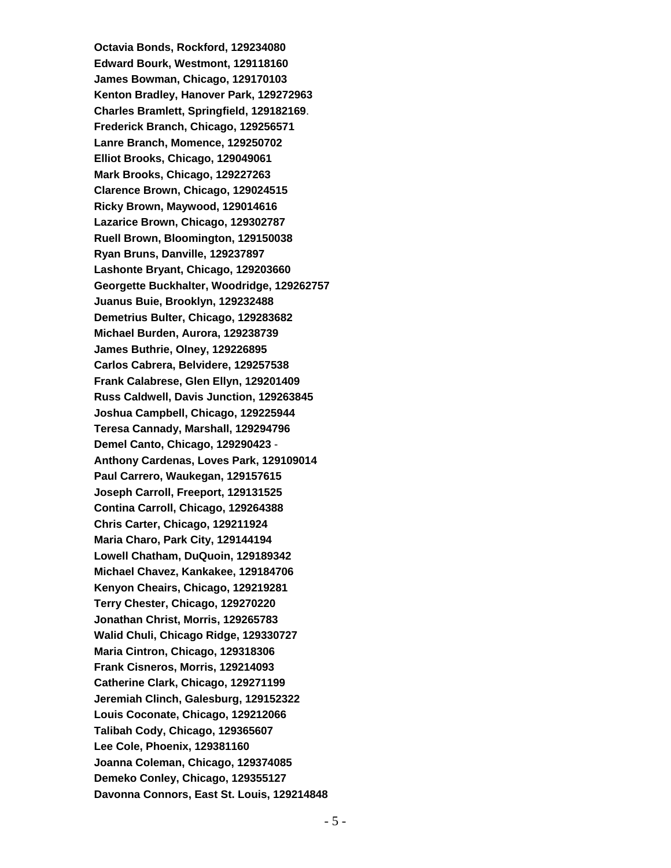**Octavia Bonds, Rockford, 129234080 Edward Bourk, Westmont, 129118160 James Bowman, Chicago, 129170103 Kenton Bradley, Hanover Park, 129272963 Charles Bramlett, Springfield, 129182169**. **Frederick Branch, Chicago, 129256571 Lanre Branch, Momence, 129250702 Elliot Brooks, Chicago, 129049061 Mark Brooks, Chicago, 129227263 Clarence Brown, Chicago, 129024515 Ricky Brown, Maywood, 129014616 Lazarice Brown, Chicago, 129302787 Ruell Brown, Bloomington, 129150038 Ryan Bruns, Danville, 129237897 Lashonte Bryant, Chicago, 129203660 Georgette Buckhalter, Woodridge, 129262757 Juanus Buie, Brooklyn, 129232488 Demetrius Bulter, Chicago, 129283682 Michael Burden, Aurora, 129238739 James Buthrie, Olney, 129226895 Carlos Cabrera, Belvidere, 129257538 Frank Calabrese, Glen Ellyn, 129201409 Russ Caldwell, Davis Junction, 129263845 Joshua Campbell, Chicago, 129225944 Teresa Cannady, Marshall, 129294796 Demel Canto, Chicago, 129290423** - **Anthony Cardenas, Loves Park, 129109014 Paul Carrero, Waukegan, 129157615 Joseph Carroll, Freeport, 129131525 Contina Carroll, Chicago, 129264388 Chris Carter, Chicago, 129211924 Maria Charo, Park City, 129144194 Lowell Chatham, DuQuoin, 129189342 Michael Chavez, Kankakee, 129184706 Kenyon Cheairs, Chicago, 129219281 Terry Chester, Chicago, 129270220 Jonathan Christ, Morris, 129265783 Walid Chuli, Chicago Ridge, 129330727 Maria Cintron, Chicago, 129318306 Frank Cisneros, Morris, 129214093 Catherine Clark, Chicago, 129271199 Jeremiah Clinch, Galesburg, 129152322 Louis Coconate, Chicago, 129212066 Talibah Cody, Chicago, 129365607 Lee Cole, Phoenix, 129381160 Joanna Coleman, Chicago, 129374085 Demeko Conley, Chicago, 129355127 Davonna Connors, East St. Louis, 129214848**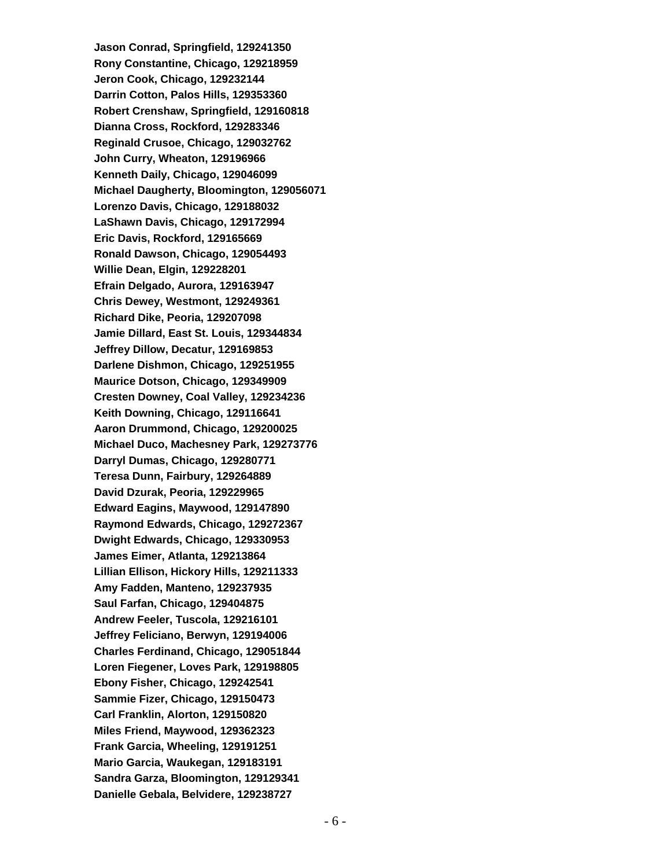**Jason Conrad, Springfield, 129241350 Rony Constantine, Chicago, 129218959 Jeron Cook, Chicago, 129232144 Darrin Cotton, Palos Hills, 129353360 Robert Crenshaw, Springfield, 129160818 Dianna Cross, Rockford, 129283346 Reginald Crusoe, Chicago, 129032762 John Curry, Wheaton, 129196966 Kenneth Daily, Chicago, 129046099 Michael Daugherty, Bloomington, 129056071 Lorenzo Davis, Chicago, 129188032 LaShawn Davis, Chicago, 129172994 Eric Davis, Rockford, 129165669 Ronald Dawson, Chicago, 129054493 Willie Dean, Elgin, 129228201 Efrain Delgado, Aurora, 129163947 Chris Dewey, Westmont, 129249361 Richard Dike, Peoria, 129207098 Jamie Dillard, East St. Louis, 129344834 Jeffrey Dillow, Decatur, 129169853 Darlene Dishmon, Chicago, 129251955 Maurice Dotson, Chicago, 129349909 Cresten Downey, Coal Valley, 129234236 Keith Downing, Chicago, 129116641 Aaron Drummond, Chicago, 129200025 Michael Duco, Machesney Park, 129273776 Darryl Dumas, Chicago, 129280771 Teresa Dunn, Fairbury, 129264889 David Dzurak, Peoria, 129229965 Edward Eagins, Maywood, 129147890 Raymond Edwards, Chicago, 129272367 Dwight Edwards, Chicago, 129330953 James Eimer, Atlanta, 129213864 Lillian Ellison, Hickory Hills, 129211333 Amy Fadden, Manteno, 129237935 Saul Farfan, Chicago, 129404875 Andrew Feeler, Tuscola, 129216101 Jeffrey Feliciano, Berwyn, 129194006 Charles Ferdinand, Chicago, 129051844 Loren Fiegener, Loves Park, 129198805 Ebony Fisher, Chicago, 129242541 Sammie Fizer, Chicago, 129150473 Carl Franklin, Alorton, 129150820 Miles Friend, Maywood, 129362323 Frank Garcia, Wheeling, 129191251 Mario Garcia, Waukegan, 129183191 Sandra Garza, Bloomington, 129129341 Danielle Gebala, Belvidere, 129238727**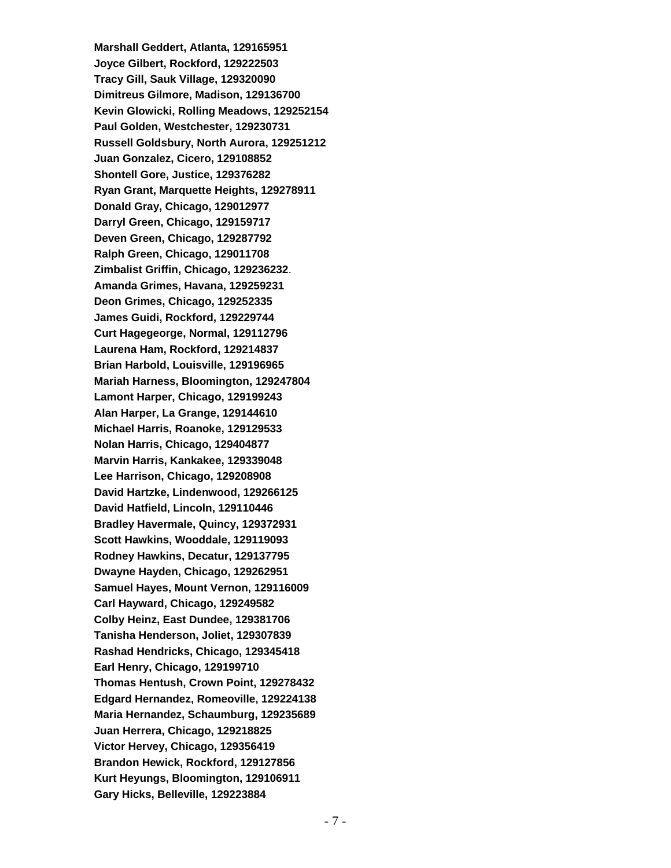**Marshall Geddert, Atlanta, 129165951 Joyce Gilbert, Rockford, 129222503 Tracy Gill, Sauk Village, 129320090 Dimitreus Gilmore, Madison, 129136700 Kevin Glowicki, Rolling Meadows, 129252154 Paul Golden, Westchester, 129230731 Russell Goldsbury, North Aurora, 129251212 Juan Gonzalez, Cicero, 129108852 Shontell Gore, Justice, 129376282 Ryan Grant, Marquette Heights, 129278911 Donald Gray, Chicago, 129012977 Darryl Green, Chicago, 129159717 Deven Green, Chicago, 129287792 Ralph Green, Chicago, 129011708 Zimbalist Griffin, Chicago, 129236232**. **Amanda Grimes, Havana, 129259231 Deon Grimes, Chicago, 129252335 James Guidi, Rockford, 129229744 Curt Hagegeorge, Normal, 129112796 Laurena Ham, Rockford, 129214837 Brian Harbold, Louisville, 129196965 Mariah Harness, Bloomington, 129247804 Lamont Harper, Chicago, 129199243 Alan Harper, La Grange, 129144610 Michael Harris, Roanoke, 129129533 Nolan Harris, Chicago, 129404877 Marvin Harris, Kankakee, 129339048 Lee Harrison, Chicago, 129208908 David Hartzke, Lindenwood, 129266125 David Hatfield, Lincoln, 129110446 Bradley Havermale, Quincy, 129372931 Scott Hawkins, Wooddale, 129119093 Rodney Hawkins, Decatur, 129137795 Dwayne Hayden, Chicago, 129262951 Samuel Hayes, Mount Vernon, 129116009 Carl Hayward, Chicago, 129249582 Colby Heinz, East Dundee, 129381706 Tanisha Henderson, Joliet, 129307839 Rashad Hendricks, Chicago, 129345418 Earl Henry, Chicago, 129199710 Thomas Hentush, Crown Point, 129278432 Edgard Hernandez, Romeoville, 129224138 Maria Hernandez, Schaumburg, 129235689 Juan Herrera, Chicago, 129218825 Victor Hervey, Chicago, 129356419 Brandon Hewick, Rockford, 129127856 Kurt Heyungs, Bloomington, 129106911 Gary Hicks, Belleville, 129223884**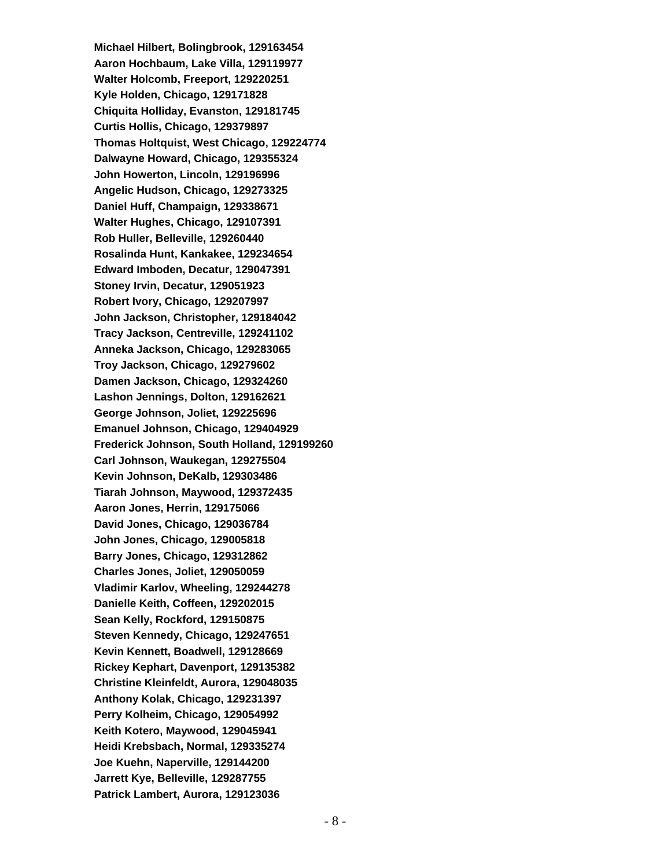**Michael Hilbert, Bolingbrook, 129163454 Aaron Hochbaum, Lake Villa, 129119977 Walter Holcomb, Freeport, 129220251 Kyle Holden, Chicago, 129171828 Chiquita Holliday, Evanston, 129181745 Curtis Hollis, Chicago, 129379897 Thomas Holtquist, West Chicago, 129224774 Dalwayne Howard, Chicago, 129355324 John Howerton, Lincoln, 129196996 Angelic Hudson, Chicago, 129273325 Daniel Huff, Champaign, 129338671 Walter Hughes, Chicago, 129107391 Rob Huller, Belleville, 129260440 Rosalinda Hunt, Kankakee, 129234654 Edward Imboden, Decatur, 129047391 Stoney Irvin, Decatur, 129051923 Robert Ivory, Chicago, 129207997 John Jackson, Christopher, 129184042 Tracy Jackson, Centreville, 129241102 Anneka Jackson, Chicago, 129283065 Troy Jackson, Chicago, 129279602 Damen Jackson, Chicago, 129324260 Lashon Jennings, Dolton, 129162621 George Johnson, Joliet, 129225696 Emanuel Johnson, Chicago, 129404929 Frederick Johnson, South Holland, 129199260 Carl Johnson, Waukegan, 129275504 Kevin Johnson, DeKalb, 129303486 Tiarah Johnson, Maywood, 129372435 Aaron Jones, Herrin, 129175066 David Jones, Chicago, 129036784 John Jones, Chicago, 129005818 Barry Jones, Chicago, 129312862 Charles Jones, Joliet, 129050059 Vladimir Karlov, Wheeling, 129244278 Danielle Keith, Coffeen, 129202015 Sean Kelly, Rockford, 129150875 Steven Kennedy, Chicago, 129247651 Kevin Kennett, Boadwell, 129128669 Rickey Kephart, Davenport, 129135382 Christine Kleinfeldt, Aurora, 129048035 Anthony Kolak, Chicago, 129231397 Perry Kolheim, Chicago, 129054992 Keith Kotero, Maywood, 129045941 Heidi Krebsbach, Normal, 129335274 Joe Kuehn, Naperville, 129144200 Jarrett Kye, Belleville, 129287755 Patrick Lambert, Aurora, 129123036**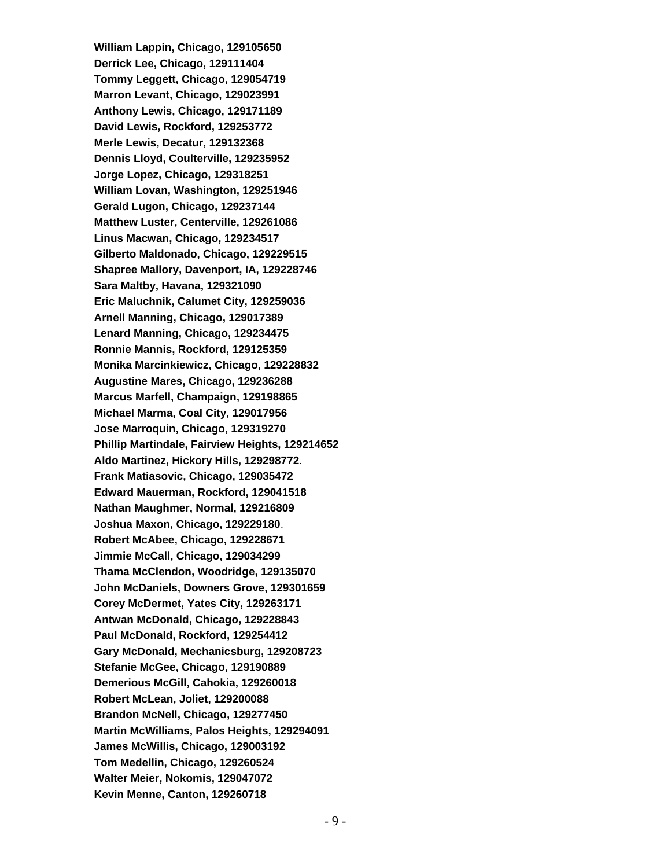**William Lappin, Chicago, 129105650 Derrick Lee, Chicago, 129111404 Tommy Leggett, Chicago, 129054719 Marron Levant, Chicago, 129023991 Anthony Lewis, Chicago, 129171189 David Lewis, Rockford, 129253772 Merle Lewis, Decatur, 129132368 Dennis Lloyd, Coulterville, 129235952 Jorge Lopez, Chicago, 129318251 William Lovan, Washington, 129251946 Gerald Lugon, Chicago, 129237144 Matthew Luster, Centerville, 129261086 Linus Macwan, Chicago, 129234517 Gilberto Maldonado, Chicago, 129229515 Shapree Mallory, Davenport, IA, 129228746 Sara Maltby, Havana, 129321090 Eric Maluchnik, Calumet City, 129259036 Arnell Manning, Chicago, 129017389 Lenard Manning, Chicago, 129234475 Ronnie Mannis, Rockford, 129125359 Monika Marcinkiewicz, Chicago, 129228832 Augustine Mares, Chicago, 129236288 Marcus Marfell, Champaign, 129198865 Michael Marma, Coal City, 129017956 Jose Marroquin, Chicago, 129319270 Phillip Martindale, Fairview Heights, 129214652 Aldo Martinez, Hickory Hills, 129298772**. **Frank Matiasovic, Chicago, 129035472 Edward Mauerman, Rockford, 129041518 Nathan Maughmer, Normal, 129216809 Joshua Maxon, Chicago, 129229180**. **Robert McAbee, Chicago, 129228671 Jimmie McCall, Chicago, 129034299 Thama McClendon, Woodridge, 129135070 John McDaniels, Downers Grove, 129301659 Corey McDermet, Yates City, 129263171 Antwan McDonald, Chicago, 129228843 Paul McDonald, Rockford, 129254412 Gary McDonald, Mechanicsburg, 129208723 Stefanie McGee, Chicago, 129190889 Demerious McGill, Cahokia, 129260018 Robert McLean, Joliet, 129200088 Brandon McNell, Chicago, 129277450 Martin McWilliams, Palos Heights, 129294091 James McWillis, Chicago, 129003192 Tom Medellin, Chicago, 129260524 Walter Meier, Nokomis, 129047072 Kevin Menne, Canton, 129260718**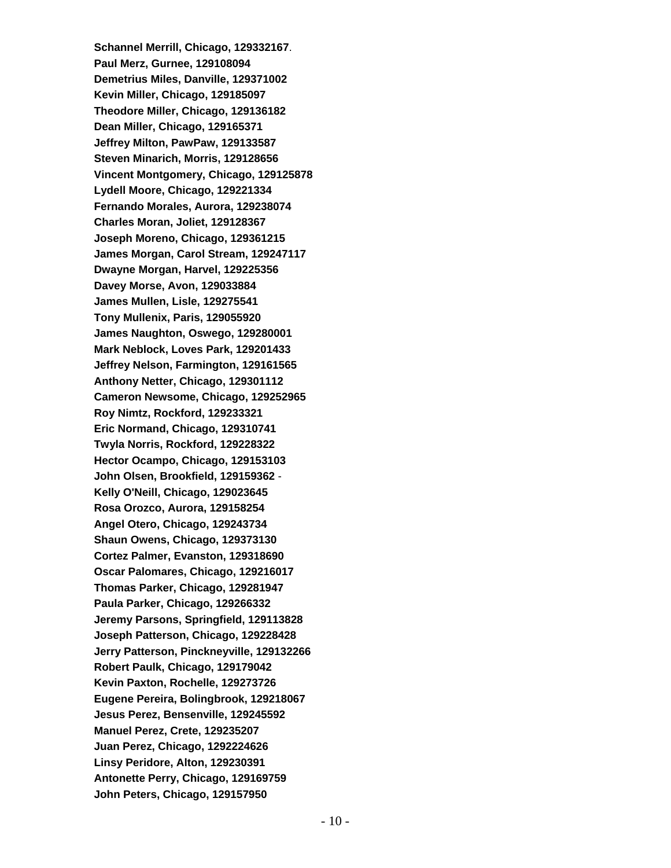**Schannel Merrill, Chicago, 129332167**. **Paul Merz, Gurnee, 129108094 Demetrius Miles, Danville, 129371002 Kevin Miller, Chicago, 129185097 Theodore Miller, Chicago, 129136182 Dean Miller, Chicago, 129165371 Jeffrey Milton, PawPaw, 129133587 Steven Minarich, Morris, 129128656 Vincent Montgomery, Chicago, 129125878 Lydell Moore, Chicago, 129221334 Fernando Morales, Aurora, 129238074 Charles Moran, Joliet, 129128367 Joseph Moreno, Chicago, 129361215 James Morgan, Carol Stream, 129247117 Dwayne Morgan, Harvel, 129225356 Davey Morse, Avon, 129033884 James Mullen, Lisle, 129275541 Tony Mullenix, Paris, 129055920 James Naughton, Oswego, 129280001 Mark Neblock, Loves Park, 129201433 Jeffrey Nelson, Farmington, 129161565 Anthony Netter, Chicago, 129301112 Cameron Newsome, Chicago, 129252965 Roy Nimtz, Rockford, 129233321 Eric Normand, Chicago, 129310741 Twyla Norris, Rockford, 129228322 Hector Ocampo, Chicago, 129153103 John Olsen, Brookfield, 129159362** - **Kelly O'Neill, Chicago, 129023645 Rosa Orozco, Aurora, 129158254 Angel Otero, Chicago, 129243734 Shaun Owens, Chicago, 129373130 Cortez Palmer, Evanston, 129318690 Oscar Palomares, Chicago, 129216017 Thomas Parker, Chicago, 129281947 Paula Parker, Chicago, 129266332 Jeremy Parsons, Springfield, 129113828 Joseph Patterson, Chicago, 129228428 Jerry Patterson, Pinckneyville, 129132266 Robert Paulk, Chicago, 129179042 Kevin Paxton, Rochelle, 129273726 Eugene Pereira, Bolingbrook, 129218067 Jesus Perez, Bensenville, 129245592 Manuel Perez, Crete, 129235207 Juan Perez, Chicago, 1292224626 Linsy Peridore, Alton, 129230391 Antonette Perry, Chicago, 129169759 John Peters, Chicago, 129157950**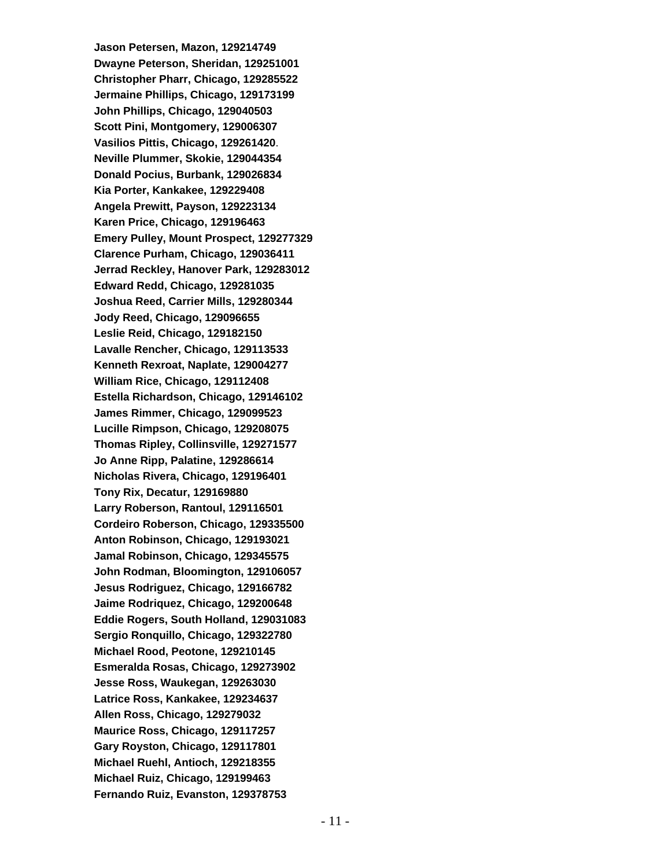**Jason Petersen, Mazon, 129214749 Dwayne Peterson, Sheridan, 129251001 Christopher Pharr, Chicago, 129285522 Jermaine Phillips, Chicago, 129173199 John Phillips, Chicago, 129040503 Scott Pini, Montgomery, 129006307 Vasilios Pittis, Chicago, 129261420**. **Neville Plummer, Skokie, 129044354 Donald Pocius, Burbank, 129026834 Kia Porter, Kankakee, 129229408 Angela Prewitt, Payson, 129223134 Karen Price, Chicago, 129196463 Emery Pulley, Mount Prospect, 129277329 Clarence Purham, Chicago, 129036411 Jerrad Reckley, Hanover Park, 129283012 Edward Redd, Chicago, 129281035 Joshua Reed, Carrier Mills, 129280344 Jody Reed, Chicago, 129096655 Leslie Reid, Chicago, 129182150 Lavalle Rencher, Chicago, 129113533 Kenneth Rexroat, Naplate, 129004277 William Rice, Chicago, 129112408 Estella Richardson, Chicago, 129146102 James Rimmer, Chicago, 129099523 Lucille Rimpson, Chicago, 129208075 Thomas Ripley, Collinsville, 129271577 Jo Anne Ripp, Palatine, 129286614 Nicholas Rivera, Chicago, 129196401 Tony Rix, Decatur, 129169880 Larry Roberson, Rantoul, 129116501 Cordeiro Roberson, Chicago, 129335500 Anton Robinson, Chicago, 129193021 Jamal Robinson, Chicago, 129345575 John Rodman, Bloomington, 129106057 Jesus Rodriguez, Chicago, 129166782 Jaime Rodriquez, Chicago, 129200648 Eddie Rogers, South Holland, 129031083 Sergio Ronquillo, Chicago, 129322780 Michael Rood, Peotone, 129210145 Esmeralda Rosas, Chicago, 129273902 Jesse Ross, Waukegan, 129263030 Latrice Ross, Kankakee, 129234637 Allen Ross, Chicago, 129279032 Maurice Ross, Chicago, 129117257 Gary Royston, Chicago, 129117801 Michael Ruehl, Antioch, 129218355 Michael Ruiz, Chicago, 129199463 Fernando Ruiz, Evanston, 129378753**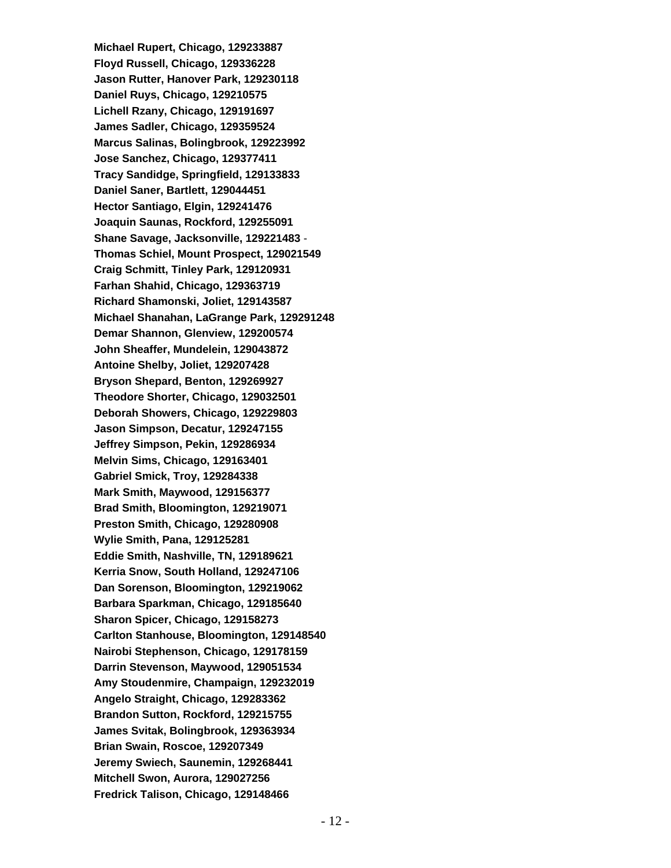**Michael Rupert, Chicago, 129233887 Floyd Russell, Chicago, 129336228 Jason Rutter, Hanover Park, 129230118 Daniel Ruys, Chicago, 129210575 Lichell Rzany, Chicago, 129191697 James Sadler, Chicago, 129359524 Marcus Salinas, Bolingbrook, 129223992 Jose Sanchez, Chicago, 129377411 Tracy Sandidge, Springfield, 129133833 Daniel Saner, Bartlett, 129044451 Hector Santiago, Elgin, 129241476 Joaquin Saunas, Rockford, 129255091 Shane Savage, Jacksonville, 129221483** - **Thomas Schiel, Mount Prospect, 129021549 Craig Schmitt, Tinley Park, 129120931 Farhan Shahid, Chicago, 129363719 Richard Shamonski, Joliet, 129143587 Michael Shanahan, LaGrange Park, 129291248 Demar Shannon, Glenview, 129200574 John Sheaffer, Mundelein, 129043872 Antoine Shelby, Joliet, 129207428 Bryson Shepard, Benton, 129269927 Theodore Shorter, Chicago, 129032501 Deborah Showers, Chicago, 129229803 Jason Simpson, Decatur, 129247155 Jeffrey Simpson, Pekin, 129286934 Melvin Sims, Chicago, 129163401 Gabriel Smick, Troy, 129284338 Mark Smith, Maywood, 129156377 Brad Smith, Bloomington, 129219071 Preston Smith, Chicago, 129280908 Wylie Smith, Pana, 129125281 Eddie Smith, Nashville, TN, 129189621 Kerria Snow, South Holland, 129247106 Dan Sorenson, Bloomington, 129219062 Barbara Sparkman, Chicago, 129185640 Sharon Spicer, Chicago, 129158273 Carlton Stanhouse, Bloomington, 129148540 Nairobi Stephenson, Chicago, 129178159 Darrin Stevenson, Maywood, 129051534 Amy Stoudenmire, Champaign, 129232019 Angelo Straight, Chicago, 129283362 Brandon Sutton, Rockford, 129215755 James Svitak, Bolingbrook, 129363934 Brian Swain, Roscoe, 129207349 Jeremy Swiech, Saunemin, 129268441 Mitchell Swon, Aurora, 129027256 Fredrick Talison, Chicago, 129148466**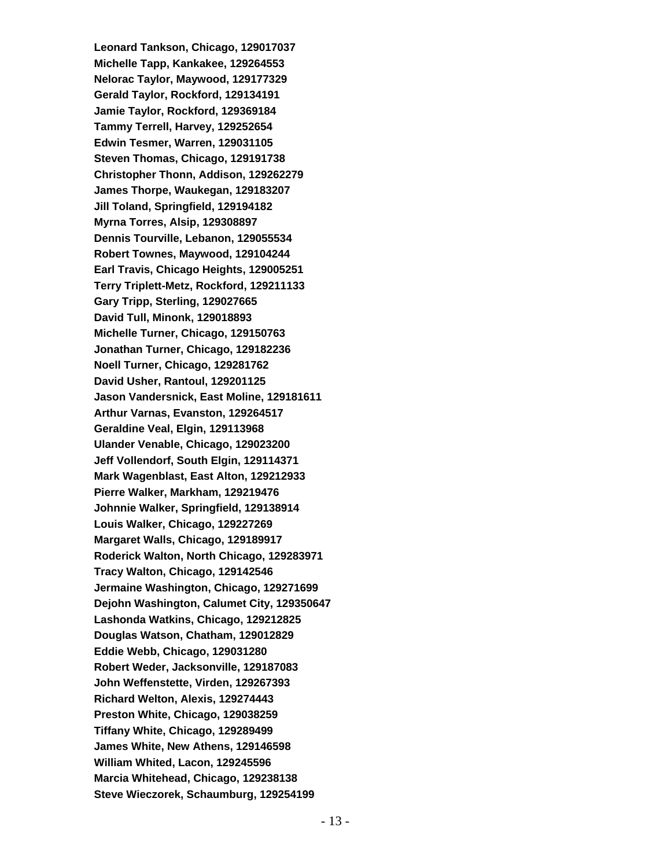**Leonard Tankson, Chicago, 129017037 Michelle Tapp, Kankakee, 129264553 Nelorac Taylor, Maywood, 129177329 Gerald Taylor, Rockford, 129134191 Jamie Taylor, Rockford, 129369184 Tammy Terrell, Harvey, 129252654 Edwin Tesmer, Warren, 129031105 Steven Thomas, Chicago, 129191738 Christopher Thonn, Addison, 129262279 James Thorpe, Waukegan, 129183207 Jill Toland, Springfield, 129194182 Myrna Torres, Alsip, 129308897 Dennis Tourville, Lebanon, 129055534 Robert Townes, Maywood, 129104244 Earl Travis, Chicago Heights, 129005251 Terry Triplett-Metz, Rockford, 129211133 Gary Tripp, Sterling, 129027665 David Tull, Minonk, 129018893 Michelle Turner, Chicago, 129150763 Jonathan Turner, Chicago, 129182236 Noell Turner, Chicago, 129281762 David Usher, Rantoul, 129201125 Jason Vandersnick, East Moline, 129181611 Arthur Varnas, Evanston, 129264517 Geraldine Veal, Elgin, 129113968 Ulander Venable, Chicago, 129023200 Jeff Vollendorf, South Elgin, 129114371 Mark Wagenblast, East Alton, 129212933 Pierre Walker, Markham, 129219476 Johnnie Walker, Springfield, 129138914 Louis Walker, Chicago, 129227269 Margaret Walls, Chicago, 129189917 Roderick Walton, North Chicago, 129283971 Tracy Walton, Chicago, 129142546 Jermaine Washington, Chicago, 129271699 Dejohn Washington, Calumet City, 129350647 Lashonda Watkins, Chicago, 129212825 Douglas Watson, Chatham, 129012829 Eddie Webb, Chicago, 129031280 Robert Weder, Jacksonville, 129187083 John Weffenstette, Virden, 129267393 Richard Welton, Alexis, 129274443 Preston White, Chicago, 129038259 Tiffany White, Chicago, 129289499 James White, New Athens, 129146598 William Whited, Lacon, 129245596 Marcia Whitehead, Chicago, 129238138 Steve Wieczorek, Schaumburg, 129254199**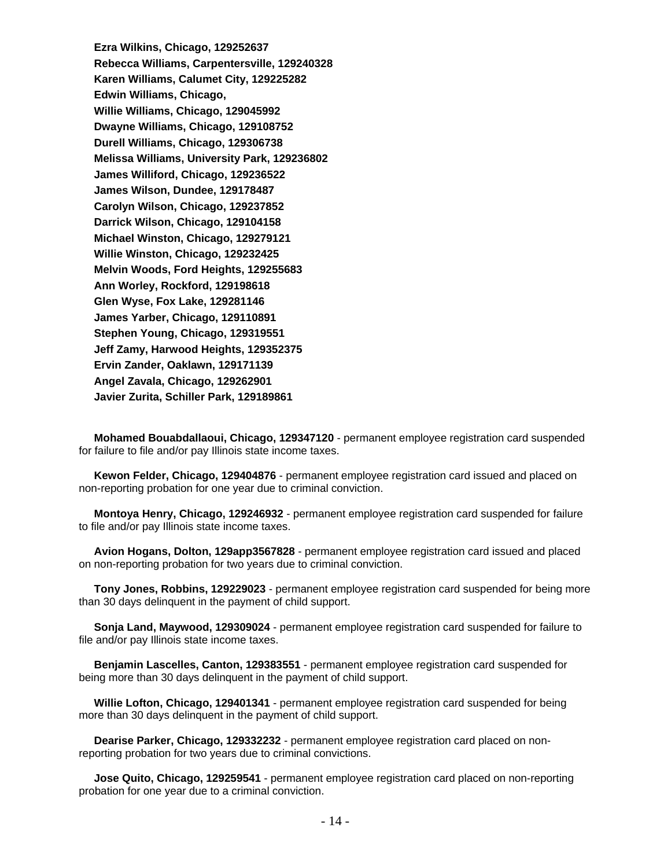**Ezra Wilkins, Chicago, 129252637 Rebecca Williams, Carpentersville, 129240328 Karen Williams, Calumet City, 129225282 Edwin Williams, Chicago, Willie Williams, Chicago, 129045992 Dwayne Williams, Chicago, 129108752 Durell Williams, Chicago, 129306738 Melissa Williams, University Park, 129236802 James Williford, Chicago, 129236522 James Wilson, Dundee, 129178487 Carolyn Wilson, Chicago, 129237852 Darrick Wilson, Chicago, 129104158 Michael Winston, Chicago, 129279121 Willie Winston, Chicago, 129232425 Melvin Woods, Ford Heights, 129255683 Ann Worley, Rockford, 129198618 Glen Wyse, Fox Lake, 129281146 James Yarber, Chicago, 129110891 Stephen Young, Chicago, 129319551 Jeff Zamy, Harwood Heights, 129352375 Ervin Zander, Oaklawn, 129171139 Angel Zavala, Chicago, 129262901 Javier Zurita, Schiller Park, 129189861**

 **Mohamed Bouabdallaoui, Chicago, 129347120** - permanent employee registration card suspended for failure to file and/or pay Illinois state income taxes.

 **Kewon Felder, Chicago, 129404876** - permanent employee registration card issued and placed on non-reporting probation for one year due to criminal conviction.

 **Montoya Henry, Chicago, 129246932** - permanent employee registration card suspended for failure to file and/or pay Illinois state income taxes.

 **Avion Hogans, Dolton, 129app3567828** - permanent employee registration card issued and placed on non-reporting probation for two years due to criminal conviction.

 **Tony Jones, Robbins, 129229023** - permanent employee registration card suspended for being more than 30 days delinquent in the payment of child support.

 **Sonja Land, Maywood, 129309024** - permanent employee registration card suspended for failure to file and/or pay Illinois state income taxes.

 **Benjamin Lascelles, Canton, 129383551** - permanent employee registration card suspended for being more than 30 days delinquent in the payment of child support.

 **Willie Lofton, Chicago, 129401341** - permanent employee registration card suspended for being more than 30 days delinquent in the payment of child support.

 **Dearise Parker, Chicago, 129332232** - permanent employee registration card placed on nonreporting probation for two years due to criminal convictions.

 **Jose Quito, Chicago, 129259541** - permanent employee registration card placed on non-reporting probation for one year due to a criminal conviction.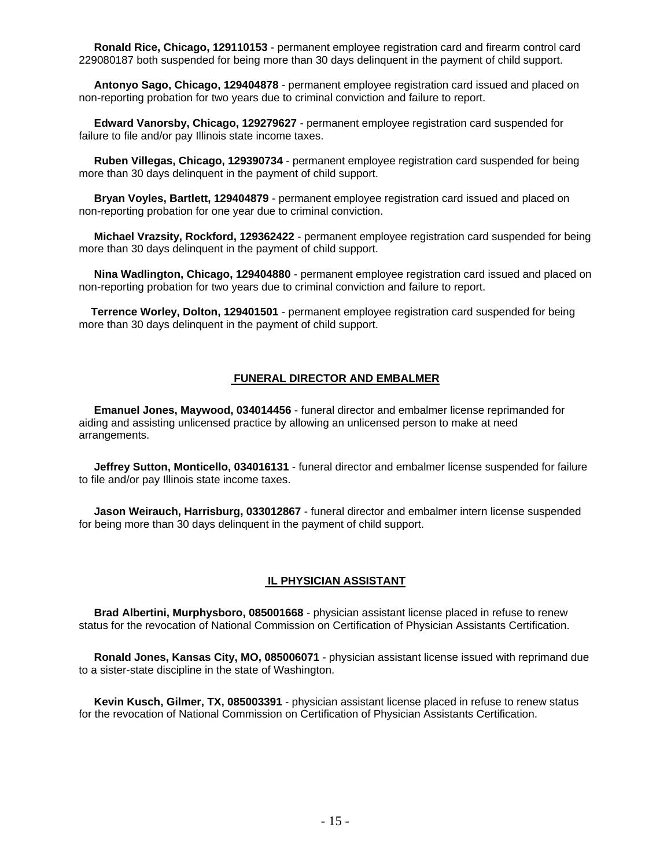**Ronald Rice, Chicago, 129110153** - permanent employee registration card and firearm control card 229080187 both suspended for being more than 30 days delinquent in the payment of child support.

 **Antonyo Sago, Chicago, 129404878** - permanent employee registration card issued and placed on non-reporting probation for two years due to criminal conviction and failure to report.

 **Edward Vanorsby, Chicago, 129279627** - permanent employee registration card suspended for failure to file and/or pay Illinois state income taxes.

 **Ruben Villegas, Chicago, 129390734** - permanent employee registration card suspended for being more than 30 days delinquent in the payment of child support.

 **Bryan Voyles, Bartlett, 129404879** - permanent employee registration card issued and placed on non-reporting probation for one year due to criminal conviction.

 **Michael Vrazsity, Rockford, 129362422** - permanent employee registration card suspended for being more than 30 days delinquent in the payment of child support.

 **Nina Wadlington, Chicago, 129404880** - permanent employee registration card issued and placed on non-reporting probation for two years due to criminal conviction and failure to report.

 **Terrence Worley, Dolton, 129401501** - permanent employee registration card suspended for being more than 30 days delinquent in the payment of child support.

## **FUNERAL DIRECTOR AND EMBALMER**

 **Emanuel Jones, Maywood, 034014456** - funeral director and embalmer license reprimanded for aiding and assisting unlicensed practice by allowing an unlicensed person to make at need arrangements.

 **Jeffrey Sutton, Monticello, 034016131** - funeral director and embalmer license suspended for failure to file and/or pay Illinois state income taxes.

 **Jason Weirauch, Harrisburg, 033012867** - funeral director and embalmer intern license suspended for being more than 30 days delinquent in the payment of child support.

## **IL PHYSICIAN ASSISTANT**

 **Brad Albertini, Murphysboro, 085001668** - physician assistant license placed in refuse to renew status for the revocation of National Commission on Certification of Physician Assistants Certification.

 **Ronald Jones, Kansas City, MO, 085006071** - physician assistant license issued with reprimand due to a sister-state discipline in the state of Washington.

 **Kevin Kusch, Gilmer, TX, 085003391** - physician assistant license placed in refuse to renew status for the revocation of National Commission on Certification of Physician Assistants Certification.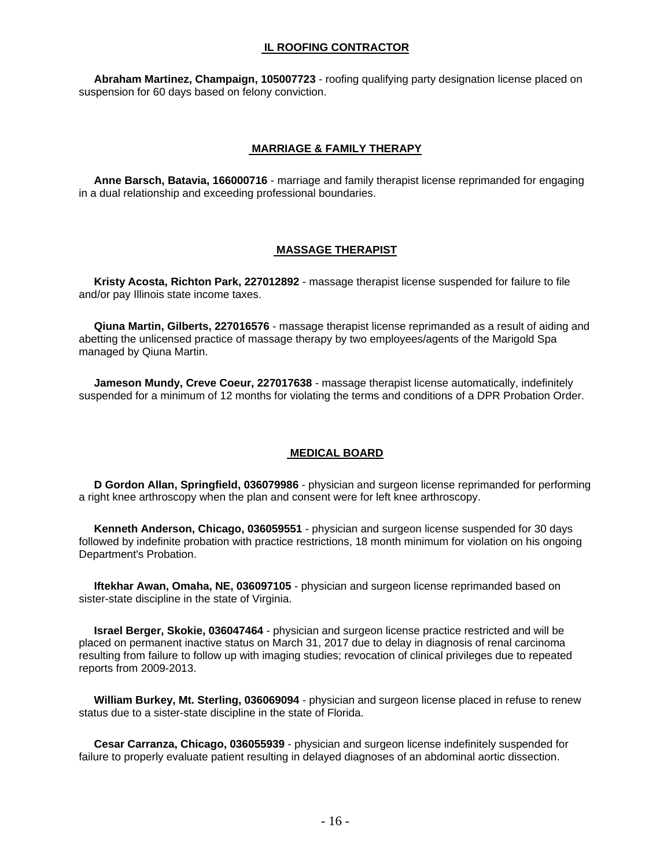## **IL ROOFING CONTRACTOR**

 **Abraham Martinez, Champaign, 105007723** - roofing qualifying party designation license placed on suspension for 60 days based on felony conviction.

## **MARRIAGE & FAMILY THERAPY**

 **Anne Barsch, Batavia, 166000716** - marriage and family therapist license reprimanded for engaging in a dual relationship and exceeding professional boundaries.

## **MASSAGE THERAPIST**

 **Kristy Acosta, Richton Park, 227012892** - massage therapist license suspended for failure to file and/or pay Illinois state income taxes.

 **Qiuna Martin, Gilberts, 227016576** - massage therapist license reprimanded as a result of aiding and abetting the unlicensed practice of massage therapy by two employees/agents of the Marigold Spa managed by Qiuna Martin.

 **Jameson Mundy, Creve Coeur, 227017638** - massage therapist license automatically, indefinitely suspended for a minimum of 12 months for violating the terms and conditions of a DPR Probation Order.

## **MEDICAL BOARD**

 **D Gordon Allan, Springfield, 036079986** - physician and surgeon license reprimanded for performing a right knee arthroscopy when the plan and consent were for left knee arthroscopy.

 **Kenneth Anderson, Chicago, 036059551** - physician and surgeon license suspended for 30 days followed by indefinite probation with practice restrictions, 18 month minimum for violation on his ongoing Department's Probation.

 **Iftekhar Awan, Omaha, NE, 036097105** - physician and surgeon license reprimanded based on sister-state discipline in the state of Virginia.

 **Israel Berger, Skokie, 036047464** - physician and surgeon license practice restricted and will be placed on permanent inactive status on March 31, 2017 due to delay in diagnosis of renal carcinoma resulting from failure to follow up with imaging studies; revocation of clinical privileges due to repeated reports from 2009-2013.

 **William Burkey, Mt. Sterling, 036069094** - physician and surgeon license placed in refuse to renew status due to a sister-state discipline in the state of Florida.

 **Cesar Carranza, Chicago, 036055939** - physician and surgeon license indefinitely suspended for failure to properly evaluate patient resulting in delayed diagnoses of an abdominal aortic dissection.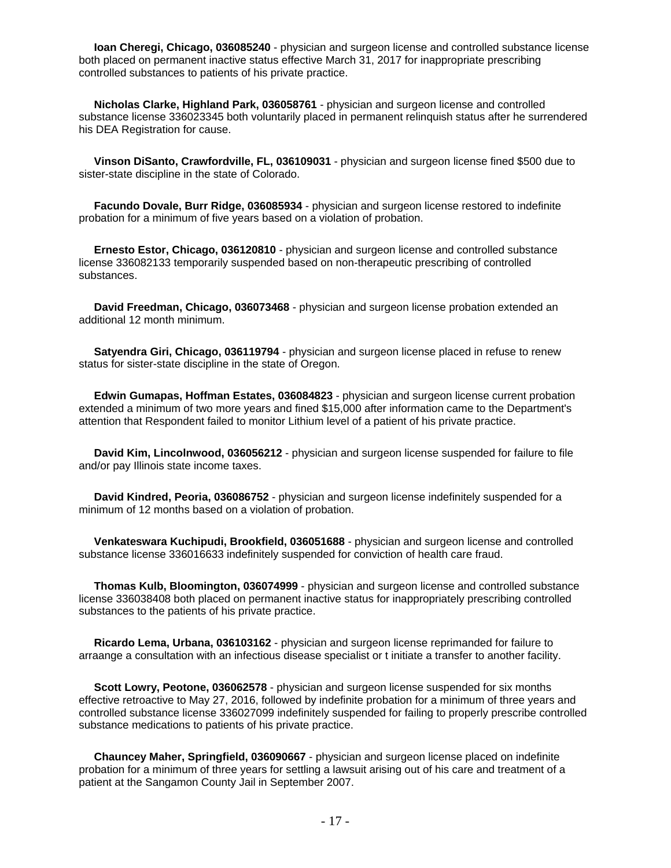**Ioan Cheregi, Chicago, 036085240** - physician and surgeon license and controlled substance license both placed on permanent inactive status effective March 31, 2017 for inappropriate prescribing controlled substances to patients of his private practice.

 **Nicholas Clarke, Highland Park, 036058761** - physician and surgeon license and controlled substance license 336023345 both voluntarily placed in permanent relinquish status after he surrendered his DEA Registration for cause.

 **Vinson DiSanto, Crawfordville, FL, 036109031** - physician and surgeon license fined \$500 due to sister-state discipline in the state of Colorado.

 **Facundo Dovale, Burr Ridge, 036085934** - physician and surgeon license restored to indefinite probation for a minimum of five years based on a violation of probation.

 **Ernesto Estor, Chicago, 036120810** - physician and surgeon license and controlled substance license 336082133 temporarily suspended based on non-therapeutic prescribing of controlled substances.

 **David Freedman, Chicago, 036073468** - physician and surgeon license probation extended an additional 12 month minimum.

 **Satyendra Giri, Chicago, 036119794** - physician and surgeon license placed in refuse to renew status for sister-state discipline in the state of Oregon.

 **Edwin Gumapas, Hoffman Estates, 036084823** - physician and surgeon license current probation extended a minimum of two more years and fined \$15,000 after information came to the Department's attention that Respondent failed to monitor Lithium level of a patient of his private practice.

 **David Kim, Lincolnwood, 036056212** - physician and surgeon license suspended for failure to file and/or pay Illinois state income taxes.

 **David Kindred, Peoria, 036086752** - physician and surgeon license indefinitely suspended for a minimum of 12 months based on a violation of probation.

 **Venkateswara Kuchipudi, Brookfield, 036051688** - physician and surgeon license and controlled substance license 336016633 indefinitely suspended for conviction of health care fraud.

 **Thomas Kulb, Bloomington, 036074999** - physician and surgeon license and controlled substance license 336038408 both placed on permanent inactive status for inappropriately prescribing controlled substances to the patients of his private practice.

 **Ricardo Lema, Urbana, 036103162** - physician and surgeon license reprimanded for failure to arraange a consultation with an infectious disease specialist or t initiate a transfer to another facility.

 **Scott Lowry, Peotone, 036062578** - physician and surgeon license suspended for six months effective retroactive to May 27, 2016, followed by indefinite probation for a minimum of three years and controlled substance license 336027099 indefinitely suspended for failing to properly prescribe controlled substance medications to patients of his private practice.

 **Chauncey Maher, Springfield, 036090667** - physician and surgeon license placed on indefinite probation for a minimum of three years for settling a lawsuit arising out of his care and treatment of a patient at the Sangamon County Jail in September 2007.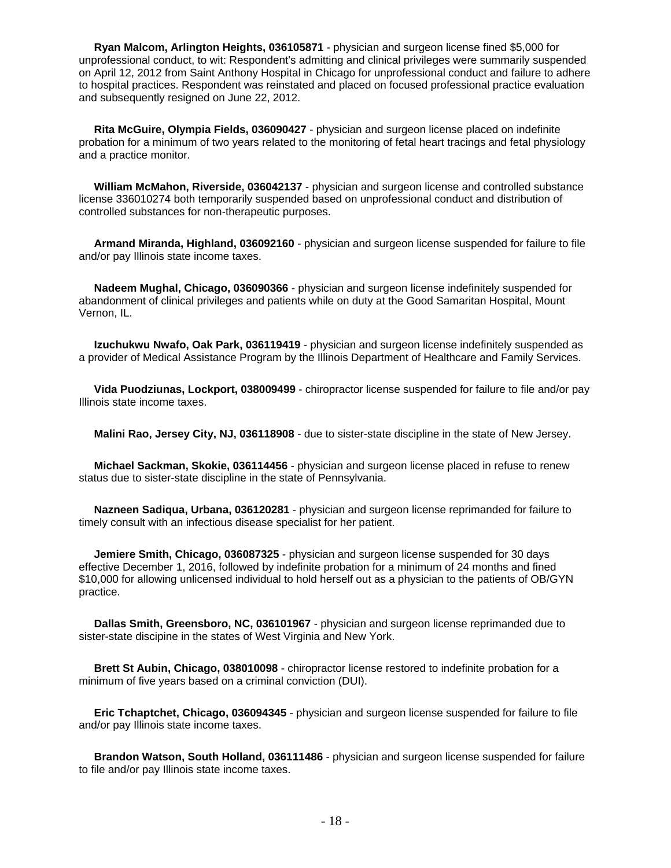**Ryan Malcom, Arlington Heights, 036105871** - physician and surgeon license fined \$5,000 for unprofessional conduct, to wit: Respondent's admitting and clinical privileges were summarily suspended on April 12, 2012 from Saint Anthony Hospital in Chicago for unprofessional conduct and failure to adhere to hospital practices. Respondent was reinstated and placed on focused professional practice evaluation and subsequently resigned on June 22, 2012.

 **Rita McGuire, Olympia Fields, 036090427** - physician and surgeon license placed on indefinite probation for a minimum of two years related to the monitoring of fetal heart tracings and fetal physiology and a practice monitor.

 **William McMahon, Riverside, 036042137** - physician and surgeon license and controlled substance license 336010274 both temporarily suspended based on unprofessional conduct and distribution of controlled substances for non-therapeutic purposes.

 **Armand Miranda, Highland, 036092160** - physician and surgeon license suspended for failure to file and/or pay Illinois state income taxes.

 **Nadeem Mughal, Chicago, 036090366** - physician and surgeon license indefinitely suspended for abandonment of clinical privileges and patients while on duty at the Good Samaritan Hospital, Mount Vernon, IL.

 **Izuchukwu Nwafo, Oak Park, 036119419** - physician and surgeon license indefinitely suspended as a provider of Medical Assistance Program by the Illinois Department of Healthcare and Family Services.

 **Vida Puodziunas, Lockport, 038009499** - chiropractor license suspended for failure to file and/or pay Illinois state income taxes.

**Malini Rao, Jersey City, NJ, 036118908** - due to sister-state discipline in the state of New Jersey.

 **Michael Sackman, Skokie, 036114456** - physician and surgeon license placed in refuse to renew status due to sister-state discipline in the state of Pennsylvania.

 **Nazneen Sadiqua, Urbana, 036120281** - physician and surgeon license reprimanded for failure to timely consult with an infectious disease specialist for her patient.

 **Jemiere Smith, Chicago, 036087325** - physician and surgeon license suspended for 30 days effective December 1, 2016, followed by indefinite probation for a minimum of 24 months and fined \$10,000 for allowing unlicensed individual to hold herself out as a physician to the patients of OB/GYN practice.

 **Dallas Smith, Greensboro, NC, 036101967** - physician and surgeon license reprimanded due to sister-state discipine in the states of West Virginia and New York.

 **Brett St Aubin, Chicago, 038010098** - chiropractor license restored to indefinite probation for a minimum of five years based on a criminal conviction (DUI).

 **Eric Tchaptchet, Chicago, 036094345** - physician and surgeon license suspended for failure to file and/or pay Illinois state income taxes.

 **Brandon Watson, South Holland, 036111486** - physician and surgeon license suspended for failure to file and/or pay Illinois state income taxes.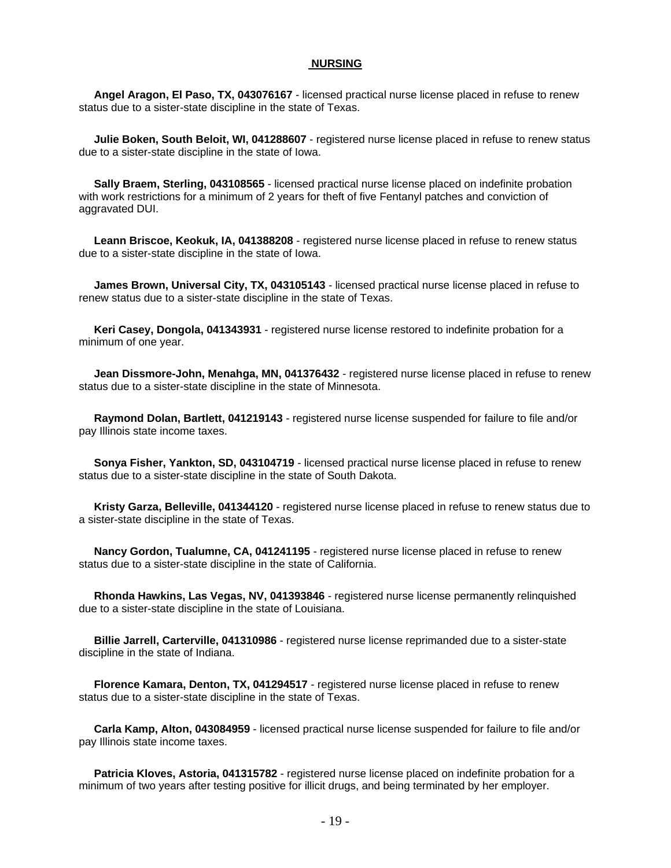## **NURSING**

 **Angel Aragon, El Paso, TX, 043076167** - licensed practical nurse license placed in refuse to renew status due to a sister-state discipline in the state of Texas.

 **Julie Boken, South Beloit, WI, 041288607** - registered nurse license placed in refuse to renew status due to a sister-state discipline in the state of Iowa.

 **Sally Braem, Sterling, 043108565** - licensed practical nurse license placed on indefinite probation with work restrictions for a minimum of 2 years for theft of five Fentanyl patches and conviction of aggravated DUI.

 **Leann Briscoe, Keokuk, IA, 041388208** - registered nurse license placed in refuse to renew status due to a sister-state discipline in the state of Iowa.

 **James Brown, Universal City, TX, 043105143** - licensed practical nurse license placed in refuse to renew status due to a sister-state discipline in the state of Texas.

 **Keri Casey, Dongola, 041343931** - registered nurse license restored to indefinite probation for a minimum of one year.

 **Jean Dissmore-John, Menahga, MN, 041376432** - registered nurse license placed in refuse to renew status due to a sister-state discipline in the state of Minnesota.

 **Raymond Dolan, Bartlett, 041219143** - registered nurse license suspended for failure to file and/or pay Illinois state income taxes.

 **Sonya Fisher, Yankton, SD, 043104719** - licensed practical nurse license placed in refuse to renew status due to a sister-state discipline in the state of South Dakota.

 **Kristy Garza, Belleville, 041344120** - registered nurse license placed in refuse to renew status due to a sister-state discipline in the state of Texas.

 **Nancy Gordon, Tualumne, CA, 041241195** - registered nurse license placed in refuse to renew status due to a sister-state discipline in the state of California.

 **Rhonda Hawkins, Las Vegas, NV, 041393846** - registered nurse license permanently relinquished due to a sister-state discipline in the state of Louisiana.

 **Billie Jarrell, Carterville, 041310986** - registered nurse license reprimanded due to a sister-state discipline in the state of Indiana.

 **Florence Kamara, Denton, TX, 041294517** - registered nurse license placed in refuse to renew status due to a sister-state discipline in the state of Texas.

 **Carla Kamp, Alton, 043084959** - licensed practical nurse license suspended for failure to file and/or pay Illinois state income taxes.

 **Patricia Kloves, Astoria, 041315782** - registered nurse license placed on indefinite probation for a minimum of two years after testing positive for illicit drugs, and being terminated by her employer.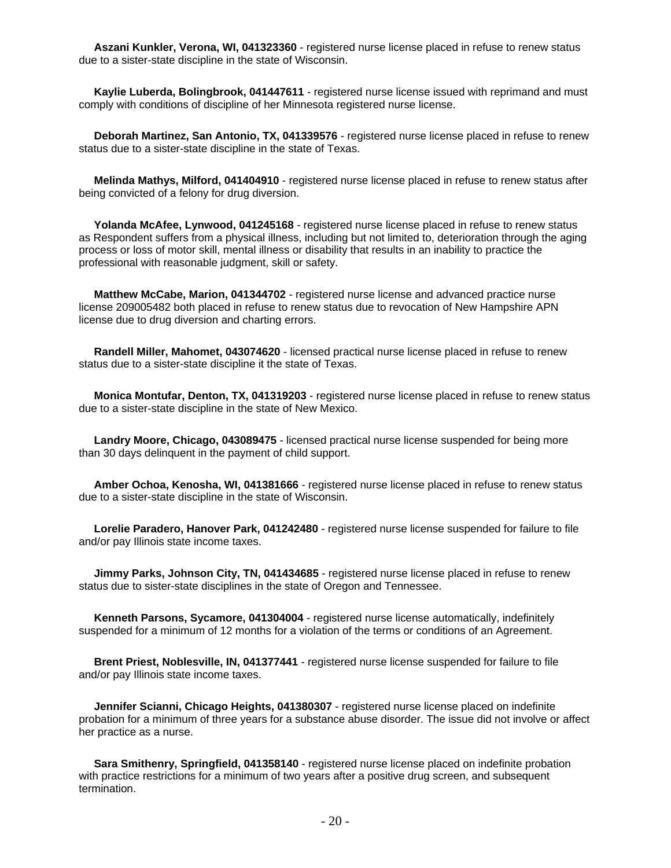**Aszani Kunkler, Verona, WI, 041323360** - registered nurse license placed in refuse to renew status due to a sister-state discipline in the state of Wisconsin.

 **Kaylie Luberda, Bolingbrook, 041447611** - registered nurse license issued with reprimand and must comply with conditions of discipline of her Minnesota registered nurse license.

 **Deborah Martinez, San Antonio, TX, 041339576** - registered nurse license placed in refuse to renew status due to a sister-state discipline in the state of Texas.

 **Melinda Mathys, Milford, 041404910** - registered nurse license placed in refuse to renew status after being convicted of a felony for drug diversion.

 **Yolanda McAfee, Lynwood, 041245168** - registered nurse license placed in refuse to renew status as Respondent suffers from a physical illness, including but not limited to, deterioration through the aging process or loss of motor skill, mental illness or disability that results in an inability to practice the professional with reasonable judgment, skill or safety.

 **Matthew McCabe, Marion, 041344702** - registered nurse license and advanced practice nurse license 209005482 both placed in refuse to renew status due to revocation of New Hampshire APN license due to drug diversion and charting errors.

 **Randell Miller, Mahomet, 043074620** - licensed practical nurse license placed in refuse to renew status due to a sister-state discipline it the state of Texas.

 **Monica Montufar, Denton, TX, 041319203** - registered nurse license placed in refuse to renew status due to a sister-state discipline in the state of New Mexico.

 **Landry Moore, Chicago, 043089475** - licensed practical nurse license suspended for being more than 30 days delinquent in the payment of child support.

 **Amber Ochoa, Kenosha, WI, 041381666** - registered nurse license placed in refuse to renew status due to a sister-state discipline in the state of Wisconsin.

 **Lorelie Paradero, Hanover Park, 041242480** - registered nurse license suspended for failure to file and/or pay Illinois state income taxes.

 **Jimmy Parks, Johnson City, TN, 041434685** - registered nurse license placed in refuse to renew status due to sister-state disciplines in the state of Oregon and Tennessee.

 **Kenneth Parsons, Sycamore, 041304004** - registered nurse license automatically, indefinitely suspended for a minimum of 12 months for a violation of the terms or conditions of an Agreement.

 **Brent Priest, Noblesville, IN, 041377441** - registered nurse license suspended for failure to file and/or pay Illinois state income taxes.

 **Jennifer Scianni, Chicago Heights, 041380307** - registered nurse license placed on indefinite probation for a minimum of three years for a substance abuse disorder. The issue did not involve or affect her practice as a nurse.

 **Sara Smithenry, Springfield, 041358140** - registered nurse license placed on indefinite probation with practice restrictions for a minimum of two years after a positive drug screen, and subsequent termination.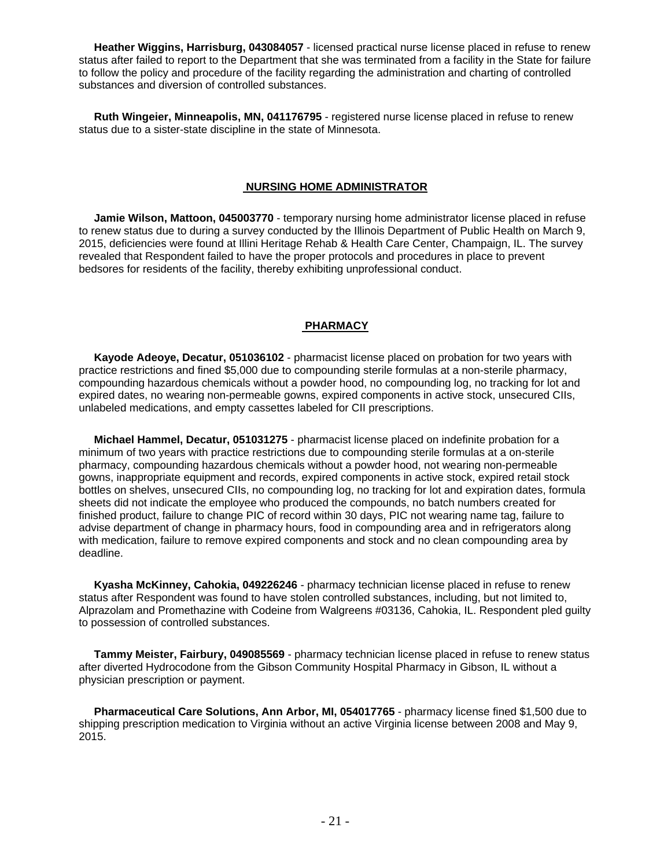**Heather Wiggins, Harrisburg, 043084057** - licensed practical nurse license placed in refuse to renew status after failed to report to the Department that she was terminated from a facility in the State for failure to follow the policy and procedure of the facility regarding the administration and charting of controlled substances and diversion of controlled substances.

 **Ruth Wingeier, Minneapolis, MN, 041176795** - registered nurse license placed in refuse to renew status due to a sister-state discipline in the state of Minnesota.

## **NURSING HOME ADMINISTRATOR**

 **Jamie Wilson, Mattoon, 045003770** - temporary nursing home administrator license placed in refuse to renew status due to during a survey conducted by the Illinois Department of Public Health on March 9, 2015, deficiencies were found at Illini Heritage Rehab & Health Care Center, Champaign, IL. The survey revealed that Respondent failed to have the proper protocols and procedures in place to prevent bedsores for residents of the facility, thereby exhibiting unprofessional conduct.

## **PHARMACY**

 **Kayode Adeoye, Decatur, 051036102** - pharmacist license placed on probation for two years with practice restrictions and fined \$5,000 due to compounding sterile formulas at a non-sterile pharmacy, compounding hazardous chemicals without a powder hood, no compounding log, no tracking for lot and expired dates, no wearing non-permeable gowns, expired components in active stock, unsecured CIIs, unlabeled medications, and empty cassettes labeled for CII prescriptions.

 **Michael Hammel, Decatur, 051031275** - pharmacist license placed on indefinite probation for a minimum of two years with practice restrictions due to compounding sterile formulas at a on-sterile pharmacy, compounding hazardous chemicals without a powder hood, not wearing non-permeable gowns, inappropriate equipment and records, expired components in active stock, expired retail stock bottles on shelves, unsecured CIIs, no compounding log, no tracking for lot and expiration dates, formula sheets did not indicate the employee who produced the compounds, no batch numbers created for finished product, failure to change PIC of record within 30 days, PIC not wearing name tag, failure to advise department of change in pharmacy hours, food in compounding area and in refrigerators along with medication, failure to remove expired components and stock and no clean compounding area by deadline.

 **Kyasha McKinney, Cahokia, 049226246** - pharmacy technician license placed in refuse to renew status after Respondent was found to have stolen controlled substances, including, but not limited to, Alprazolam and Promethazine with Codeine from Walgreens #03136, Cahokia, IL. Respondent pled guilty to possession of controlled substances.

 **Tammy Meister, Fairbury, 049085569** - pharmacy technician license placed in refuse to renew status after diverted Hydrocodone from the Gibson Community Hospital Pharmacy in Gibson, IL without a physician prescription or payment.

 **Pharmaceutical Care Solutions, Ann Arbor, MI, 054017765** - pharmacy license fined \$1,500 due to shipping prescription medication to Virginia without an active Virginia license between 2008 and May 9, 2015.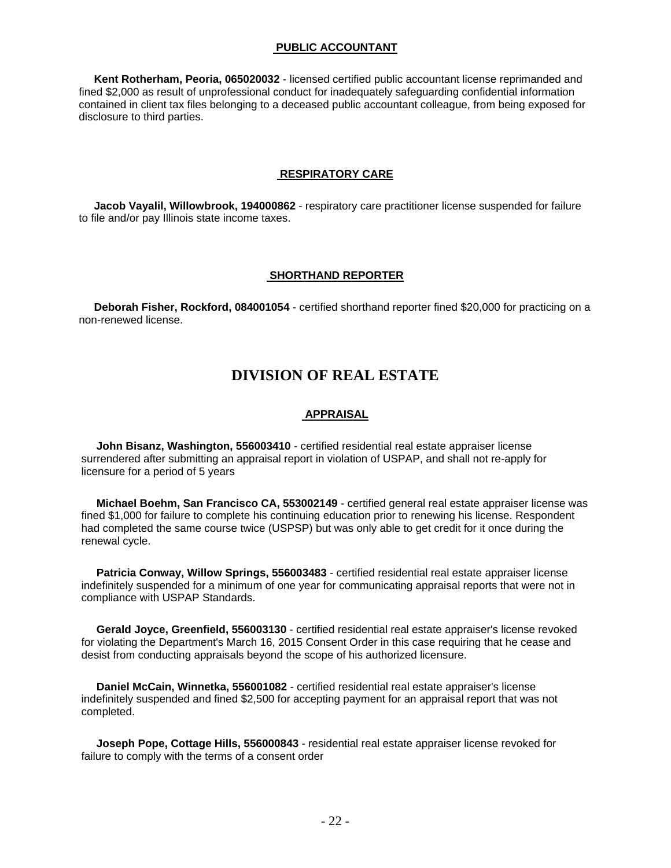## **PUBLIC ACCOUNTANT**

 **Kent Rotherham, Peoria, 065020032** - licensed certified public accountant license reprimanded and fined \$2,000 as result of unprofessional conduct for inadequately safeguarding confidential information contained in client tax files belonging to a deceased public accountant colleague, from being exposed for disclosure to third parties.

## **RESPIRATORY CARE**

 **Jacob Vayalil, Willowbrook, 194000862** - respiratory care practitioner license suspended for failure to file and/or pay Illinois state income taxes.

## **SHORTHAND REPORTER**

 **Deborah Fisher, Rockford, 084001054** - certified shorthand reporter fined \$20,000 for practicing on a non-renewed license.

## **DIVISION OF REAL ESTATE**

## **APPRAISAL**

 **John Bisanz, Washington, 556003410** - certified residential real estate appraiser license surrendered after submitting an appraisal report in violation of USPAP, and shall not re-apply for licensure for a period of 5 years

 **Michael Boehm, San Francisco CA, 553002149** - certified general real estate appraiser license was fined \$1,000 for failure to complete his continuing education prior to renewing his license. Respondent had completed the same course twice (USPSP) but was only able to get credit for it once during the renewal cycle.

 **Patricia Conway, Willow Springs, 556003483** - certified residential real estate appraiser license indefinitely suspended for a minimum of one year for communicating appraisal reports that were not in compliance with USPAP Standards.

 **Gerald Joyce, Greenfield, 556003130** - certified residential real estate appraiser's license revoked for violating the Department's March 16, 2015 Consent Order in this case requiring that he cease and desist from conducting appraisals beyond the scope of his authorized licensure.

 **Daniel McCain, Winnetka, 556001082** - certified residential real estate appraiser's license indefinitely suspended and fined \$2,500 for accepting payment for an appraisal report that was not completed.

 **Joseph Pope, Cottage Hills, 556000843** - residential real estate appraiser license revoked for failure to comply with the terms of a consent order